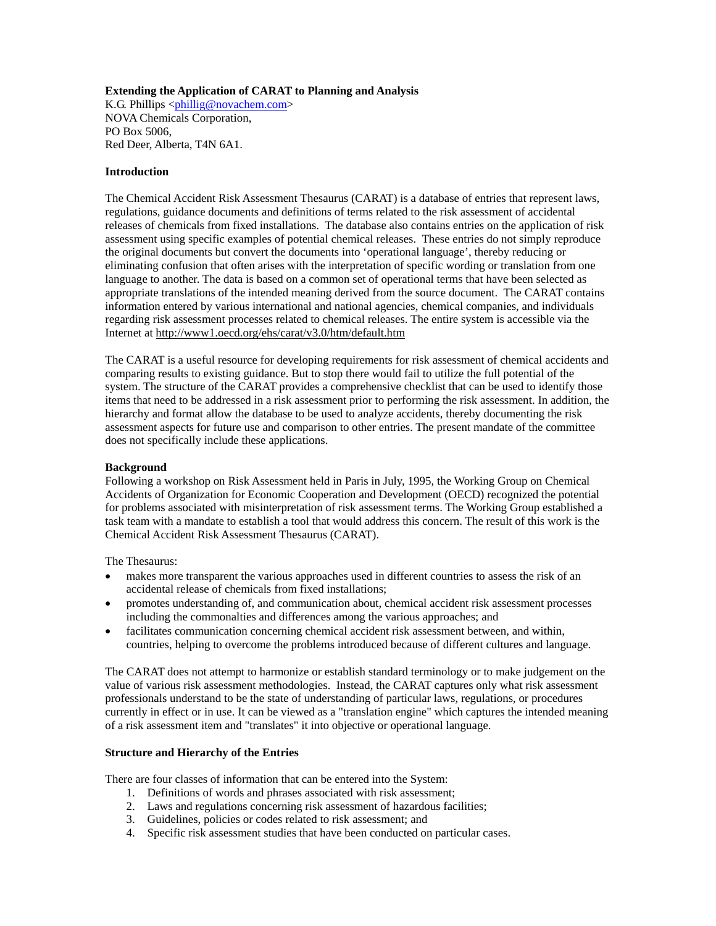## **Extending the Application of CARAT to Planning and Analysis**

K.G. Phillips  $\langle \phi \rangle$ phillig@novachem.com> NOVA Chemicals Corporation, PO Box 5006, Red Deer, Alberta, T4N 6A1.

#### **Introduction**

The Chemical Accident Risk Assessment Thesaurus (CARAT) is a database of entries that represent laws, regulations, guidance documents and definitions of terms related to the risk assessment of accidental releases of chemicals from fixed installations. The database also contains entries on the application of risk assessment using specific examples of potential chemical releases. These entries do not simply reproduce the original documents but convert the documents into 'operational language', thereby reducing or eliminating confusion that often arises with the interpretation of specific wording or translation from one language to another. The data is based on a common set of operational terms that have been selected as appropriate translations of the intended meaning derived from the source document. The CARAT contains information entered by various international and national agencies, chemical companies, and individuals regarding risk assessment processes related to chemical releases. The entire system is accessible via the Internet at http://www1.oecd.org/ehs/carat/v3.0/htm/default.htm

The CARAT is a useful resource for developing requirements for risk assessment of chemical accidents and comparing results to existing guidance. But to stop there would fail to utilize the full potential of the system. The structure of the CARAT provides a comprehensive checklist that can be used to identify those items that need to be addressed in a risk assessment prior to performing the risk assessment. In addition, the hierarchy and format allow the database to be used to analyze accidents, thereby documenting the risk assessment aspects for future use and comparison to other entries. The present mandate of the committee does not specifically include these applications.

#### **Background**

Following a workshop on Risk Assessment held in Paris in July, 1995, the Working Group on Chemical Accidents of Organization for Economic Cooperation and Development (OECD) recognized the potential for problems associated with misinterpretation of risk assessment terms. The Working Group established a task team with a mandate to establish a tool that would address this concern. The result of this work is the Chemical Accident Risk Assessment Thesaurus (CARAT).

The Thesaurus:

- makes more transparent the various approaches used in different countries to assess the risk of an accidental release of chemicals from fixed installations;
- promotes understanding of, and communication about, chemical accident risk assessment processes including the commonalties and differences among the various approaches; and
- facilitates communication concerning chemical accident risk assessment between, and within, countries, helping to overcome the problems introduced because of different cultures and language.

The CARAT does not attempt to harmonize or establish standard terminology or to make judgement on the value of various risk assessment methodologies. Instead, the CARAT captures only what risk assessment professionals understand to be the state of understanding of particular laws, regulations, or procedures currently in effect or in use. It can be viewed as a "translation engine" which captures the intended meaning of a risk assessment item and "translates" it into objective or operational language.

## **Structure and Hierarchy of the Entries**

There are four classes of information that can be entered into the System:

- 1. Definitions of words and phrases associated with risk assessment;
- 2. Laws and regulations concerning risk assessment of hazardous facilities;
- 3. Guidelines, policies or codes related to risk assessment; and
- 4. Specific risk assessment studies that have been conducted on particular cases.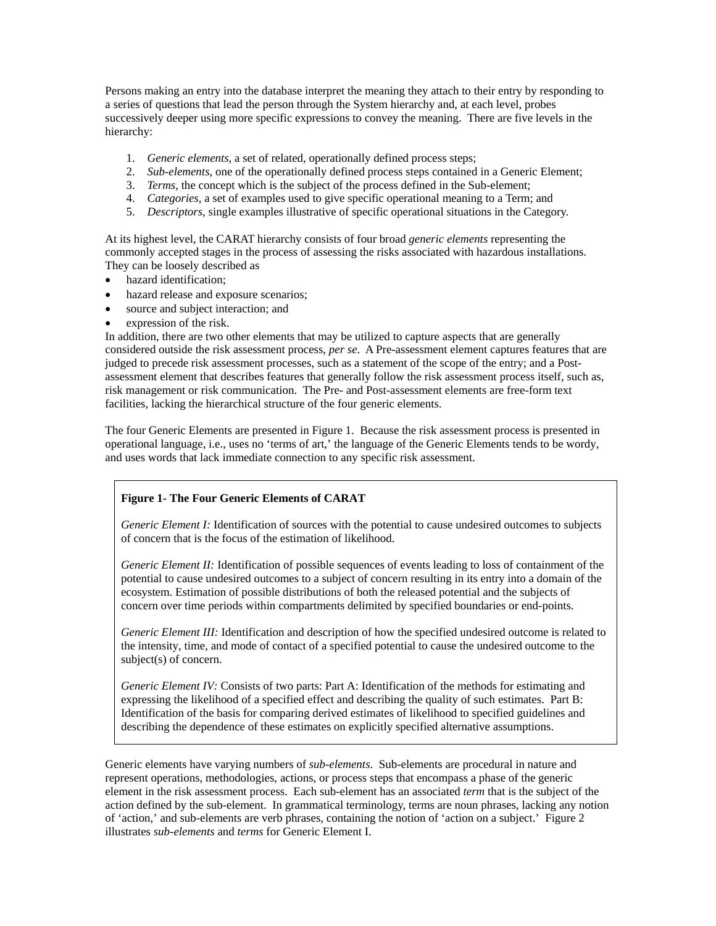Persons making an entry into the database interpret the meaning they attach to their entry by responding to a series of questions that lead the person through the System hierarchy and, at each level, probes successively deeper using more specific expressions to convey the meaning. There are five levels in the hierarchy:

- 1. *Generic elements*, a set of related, operationally defined process steps;
- 2. *Sub-elements*, one of the operationally defined process steps contained in a Generic Element;
- 3. *Terms*, the concept which is the subject of the process defined in the Sub-element;
- 4. *Categories*, a set of examples used to give specific operational meaning to a Term; and
- 5. *Descriptors*, single examples illustrative of specific operational situations in the Category.

At its highest level, the CARAT hierarchy consists of four broad *generic elements* representing the commonly accepted stages in the process of assessing the risks associated with hazardous installations. They can be loosely described as

- hazard identification;
- hazard release and exposure scenarios;
- source and subject interaction; and
- expression of the risk.

In addition, there are two other elements that may be utilized to capture aspects that are generally considered outside the risk assessment process, *per se*. A Pre-assessment element captures features that are judged to precede risk assessment processes, such as a statement of the scope of the entry; and a Postassessment element that describes features that generally follow the risk assessment process itself, such as, risk management or risk communication. The Pre- and Post-assessment elements are free-form text facilities, lacking the hierarchical structure of the four generic elements.

The four Generic Elements are presented in Figure 1. Because the risk assessment process is presented in operational language, i.e., uses no 'terms of art,' the language of the Generic Elements tends to be wordy, and uses words that lack immediate connection to any specific risk assessment.

# **Figure 1- The Four Generic Elements of CARAT**

*Generic Element I:* Identification of sources with the potential to cause undesired outcomes to subjects of concern that is the focus of the estimation of likelihood.

*Generic Element II:* Identification of possible sequences of events leading to loss of containment of the potential to cause undesired outcomes to a subject of concern resulting in its entry into a domain of the ecosystem. Estimation of possible distributions of both the released potential and the subjects of concern over time periods within compartments delimited by specified boundaries or end-points.

*Generic Element III:* Identification and description of how the specified undesired outcome is related to the intensity, time, and mode of contact of a specified potential to cause the undesired outcome to the subject(s) of concern.

*Generic Element IV:* Consists of two parts: Part A: Identification of the methods for estimating and expressing the likelihood of a specified effect and describing the quality of such estimates. Part B: Identification of the basis for comparing derived estimates of likelihood to specified guidelines and describing the dependence of these estimates on explicitly specified alternative assumptions.

Generic elements have varying numbers of *sub-elements*. Sub-elements are procedural in nature and represent operations, methodologies, actions, or process steps that encompass a phase of the generic element in the risk assessment process. Each sub-element has an associated *term* that is the subject of the action defined by the sub-element. In grammatical terminology, terms are noun phrases, lacking any notion of 'action,' and sub-elements are verb phrases, containing the notion of 'action on a subject.' Figure 2 illustrates *sub-elements* and *terms* for Generic Element I.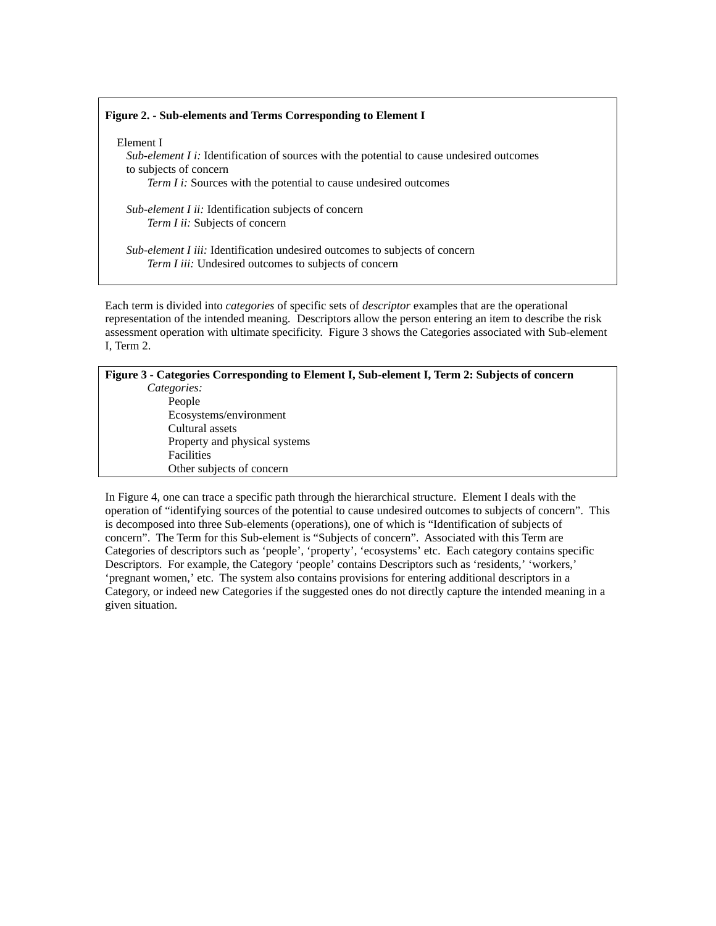## **Figure 2. - Sub-elements and Terms Corresponding to Element I**

Element I

*Sub-element I i:* Identification of sources with the potential to cause undesired outcomes to subjects of concern *Term I i:* Sources with the potential to cause undesired outcomes

*Sub-element I ii:* Identification subjects of concern *Term I ii:* Subjects of concern

*Sub-element I iii:* Identification undesired outcomes to subjects of concern *Term I iii:* Undesired outcomes to subjects of concern

Each term is divided into *categories* of specific sets of *descriptor* examples that are the operational representation of the intended meaning. Descriptors allow the person entering an item to describe the risk assessment operation with ultimate specificity. Figure 3 shows the Categories associated with Sub-element I, Term 2.

| Figure 3 - Categories Corresponding to Element I, Sub-element I, Term 2: Subjects of concern |  |
|----------------------------------------------------------------------------------------------|--|
| Categories:                                                                                  |  |
| People                                                                                       |  |
| Ecosystems/environment                                                                       |  |
| Cultural assets                                                                              |  |
| Property and physical systems                                                                |  |
| <b>Facilities</b>                                                                            |  |
| Other subjects of concern                                                                    |  |
|                                                                                              |  |

In Figure 4, one can trace a specific path through the hierarchical structure. Element I deals with the operation of "identifying sources of the potential to cause undesired outcomes to subjects of concern". This is decomposed into three Sub-elements (operations), one of which is "Identification of subjects of concern". The Term for this Sub-element is "Subjects of concern". Associated with this Term are Categories of descriptors such as 'people', 'property', 'ecosystems' etc. Each category contains specific Descriptors. For example, the Category 'people' contains Descriptors such as 'residents,' 'workers,' 'pregnant women,' etc. The system also contains provisions for entering additional descriptors in a Category, or indeed new Categories if the suggested ones do not directly capture the intended meaning in a given situation.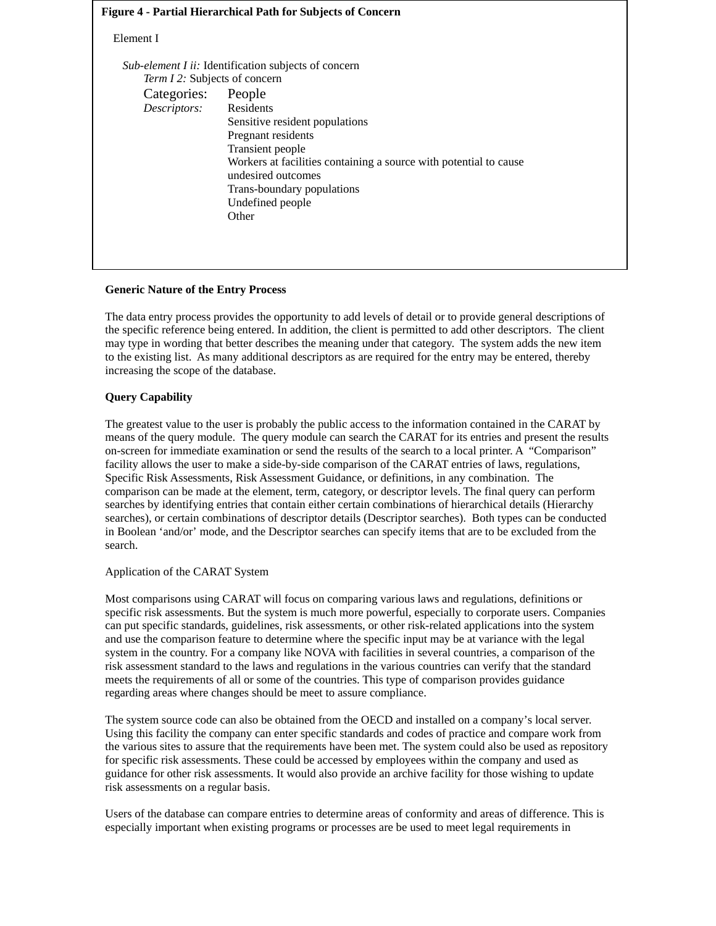# **Figure 4 - Partial Hierarchical Path for Subjects of Concern**

# Element I

| Term I 2: Subjects of concern<br>Categories: People |                                                                                         |
|-----------------------------------------------------|-----------------------------------------------------------------------------------------|
| Descriptors:                                        | Residents                                                                               |
|                                                     | Sensitive resident populations                                                          |
|                                                     | Pregnant residents                                                                      |
|                                                     | Transient people                                                                        |
|                                                     | Workers at facilities containing a source with potential to cause<br>undesired outcomes |
|                                                     | Trans-boundary populations                                                              |
|                                                     | Undefined people                                                                        |
|                                                     | Other                                                                                   |

### **Generic Nature of the Entry Process**

The data entry process provides the opportunity to add levels of detail or to provide general descriptions of the specific reference being entered. In addition, the client is permitted to add other descriptors. The client may type in wording that better describes the meaning under that category. The system adds the new item to the existing list. As many additional descriptors as are required for the entry may be entered, thereby increasing the scope of the database.

# **Query Capability**

The greatest value to the user is probably the public access to the information contained in the CARAT by means of the query module. The query module can search the CARAT for its entries and present the results on-screen for immediate examination or send the results of the search to a local printer. A "Comparison" facility allows the user to make a side-by-side comparison of the CARAT entries of laws, regulations, Specific Risk Assessments, Risk Assessment Guidance, or definitions, in any combination. The comparison can be made at the element, term, category, or descriptor levels. The final query can perform searches by identifying entries that contain either certain combinations of hierarchical details (Hierarchy searches), or certain combinations of descriptor details (Descriptor searches). Both types can be conducted in Boolean 'and/or' mode, and the Descriptor searches can specify items that are to be excluded from the search.

### Application of the CARAT System

Most comparisons using CARAT will focus on comparing various laws and regulations, definitions or specific risk assessments. But the system is much more powerful, especially to corporate users. Companies can put specific standards, guidelines, risk assessments, or other risk-related applications into the system and use the comparison feature to determine where the specific input may be at variance with the legal system in the country. For a company like NOVA with facilities in several countries, a comparison of the risk assessment standard to the laws and regulations in the various countries can verify that the standard meets the requirements of all or some of the countries. This type of comparison provides guidance regarding areas where changes should be meet to assure compliance.

The system source code can also be obtained from the OECD and installed on a company's local server. Using this facility the company can enter specific standards and codes of practice and compare work from the various sites to assure that the requirements have been met. The system could also be used as repository for specific risk assessments. These could be accessed by employees within the company and used as guidance for other risk assessments. It would also provide an archive facility for those wishing to update risk assessments on a regular basis.

Users of the database can compare entries to determine areas of conformity and areas of difference. This is especially important when existing programs or processes are be used to meet legal requirements in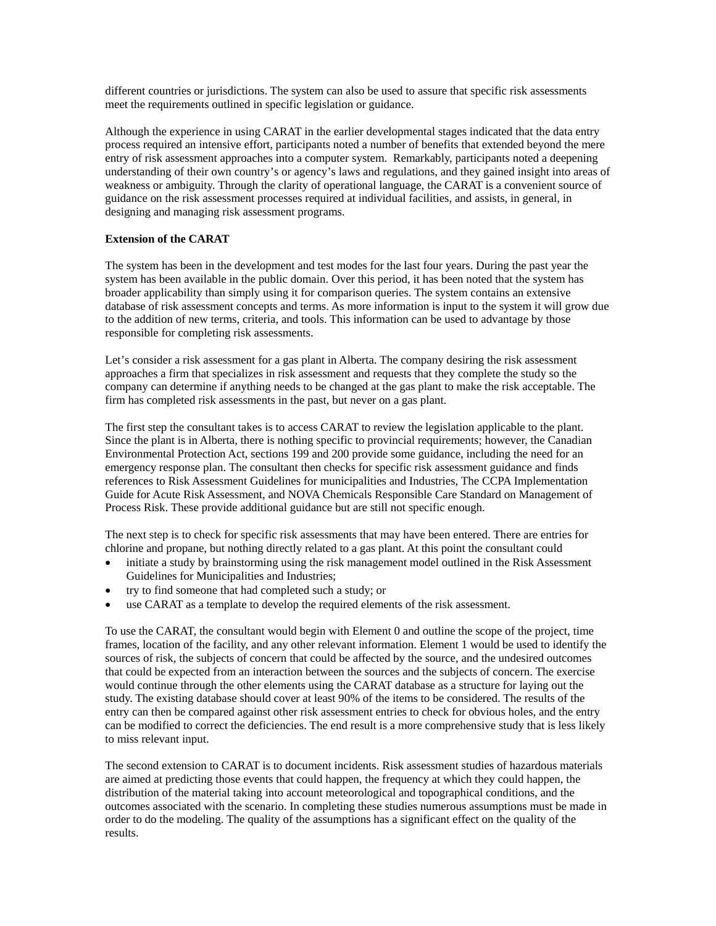different countries or jurisdictions. The system can also be used to assure that specific risk assessments meet the requirements outlined in specific legislation or guidance.

Although the experience in using CARAT in the earlier developmental stages indicated that the data entry process required an intensive effort, participants noted a number of benefits that extended beyond the mere entry of risk assessment approaches into a computer system. Remarkably, participants noted a deepening understanding of their own country's or agency's laws and regulations, and they gained insight into areas of weakness or ambiguity. Through the clarity of operational language, the CARAT is a convenient source of guidance on the risk assessment processes required at individual facilities, and assists, in general, in designing and managing risk assessment programs.

## **Extension of the CARAT**

The system has been in the development and test modes for the last four years. During the past year the system has been available in the public domain. Over this period, it has been noted that the system has broader applicability than simply using it for comparison queries. The system contains an extensive database of risk assessment concepts and terms. As more information is input to the system it will grow due to the addition of new terms, criteria, and tools. This information can be used to advantage by those responsible for completing risk assessments.

Let's consider a risk assessment for a gas plant in Alberta. The company desiring the risk assessment approaches a firm that specializes in risk assessment and requests that they complete the study so the company can determine if anything needs to be changed at the gas plant to make the risk acceptable. The firm has completed risk assessments in the past, but never on a gas plant.

The first step the consultant takes is to access CARAT to review the legislation applicable to the plant. Since the plant is in Alberta, there is nothing specific to provincial requirements; however, the Canadian Environmental Protection Act, sections 199 and 200 provide some guidance, including the need for an emergency response plan. The consultant then checks for specific risk assessment guidance and finds references to Risk Assessment Guidelines for municipalities and Industries, The CCPA Implementation Guide for Acute Risk Assessment, and NOVA Chemicals Responsible Care Standard on Management of Process Risk. These provide additional guidance but are still not specific enough.

The next step is to check for specific risk assessments that may have been entered. There are entries for chlorine and propane, but nothing directly related to a gas plant. At this point the consultant could

- initiate a study by brainstorming using the risk management model outlined in the Risk Assessment Guidelines for Municipalities and Industries;
- try to find someone that had completed such a study; or
- use CARAT as a template to develop the required elements of the risk assessment.

To use the CARAT, the consultant would begin with Element 0 and outline the scope of the project, time frames, location of the facility, and any other relevant information. Element 1 would be used to identify the sources of risk, the subjects of concern that could be affected by the source, and the undesired outcomes that could be expected from an interaction between the sources and the subjects of concern. The exercise would continue through the other elements using the CARAT database as a structure for laying out the study. The existing database should cover at least 90% of the items to be considered. The results of the entry can then be compared against other risk assessment entries to check for obvious holes, and the entry can be modified to correct the deficiencies. The end result is a more comprehensive study that is less likely to miss relevant input.

The second extension to CARAT is to document incidents. Risk assessment studies of hazardous materials are aimed at predicting those events that could happen, the frequency at which they could happen, the distribution of the material taking into account meteorological and topographical conditions, and the outcomes associated with the scenario. In completing these studies numerous assumptions must be made in order to do the modeling. The quality of the assumptions has a significant effect on the quality of the results.